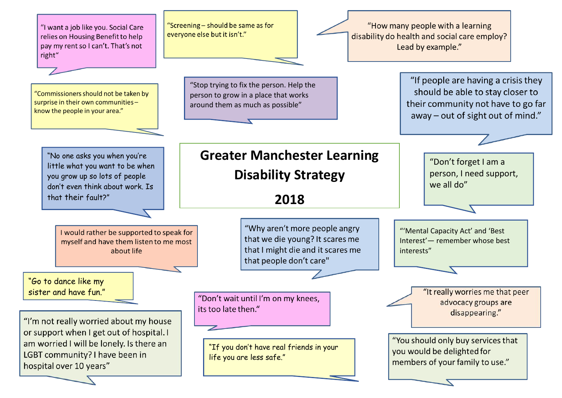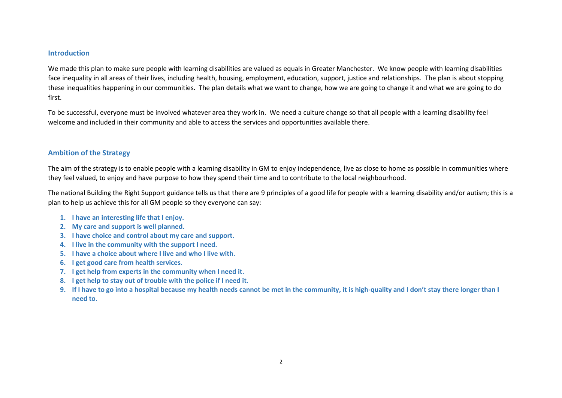#### **Introduction**

We made this plan to make sure people with learning disabilities are valued as equals in Greater Manchester. We know people with learning disabilities face inequality in all areas of their lives, including health, housing, employment, education, support, justice and relationships. The plan is about stopping these inequalities happening in our communities. The plan details what we want to change, how we are going to change it and what we are going to do first.

To be successful, everyone must be involved whatever area they work in. We need a culture change so that all people with a learning disability feel welcome and included in their community and able to access the services and opportunities available there.

### **Ambition of the Strategy**

The aim of the strategy is to enable people with a learning disability in GM to enjoy independence, live as close to home as possible in communities where they feel valued, to enjoy and have purpose to how they spend their time and to contribute to the local neighbourhood.

The national Building the Right Support guidance tells us that there are 9 principles of a good life for people with a learning disability and/or autism; this is a plan to help us achieve this for all GM people so they everyone can say:

- **1. I have an interesting life that I enjoy.**
- **2. My care and support is well planned.**
- **3. I have choice and control about my care and support.**
- **4. I live in the community with the support I need.**
- **5. I have a choice about where I live and who I live with.**
- **6. I get good care from health services.**
- **7. I get help from experts in the community when I need it.**
- **8. I get help to stay out of trouble with the police if I need it.**
- **9. If I have to go into a hospital because my health needs cannot be met in the community, it is high-quality and I don't stay there longer than I need to.**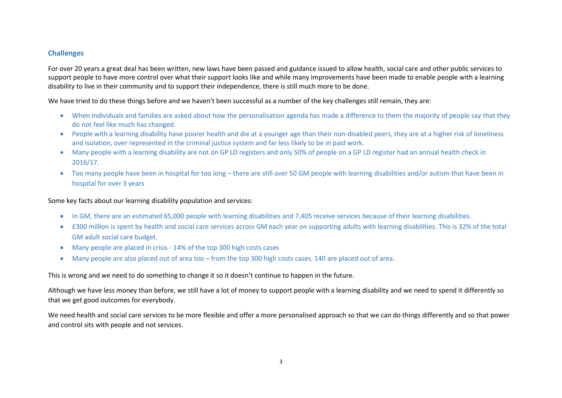### **Challenges**

For over 20 years a great deal has been written, new laws have been passed and guidance issued to allow health, social care and other public services to support people to have more control over what their support looks like and while many improvements have been made to enable people with a learning disability to live in their community and to support their independence, there is still much more to be done.

We have tried to do these things before and we haven't been successful as a number of the key challenges still remain, they are:

- When individuals and families are asked about how the personalisation agenda has made a difference to them the majority of people say that they do not feel like much has changed.
- People with a learning disability have poorer health and die at a younger age than their non-disabled peers, they are at a higher risk of loneliness and isolation, over represented in the criminal justice system and far less likely to be in paid work.
- Many people with a learning disability are not on GP LD registers and only 50% of people on a GP LD register had an annual health check in 2016/17.
- Too many people have been in hospital for too long there are still over 50 GM people with learning disabilities and/or autism that have been in hospital for over 3 years

Some key facts about our learning disability population and services:

- In GM, there are an estimated 65,000 people with learning disabilities and 7,405 receive services because of their learning disabilities.
- £300 million is spent by health and social care services across GM each year on supporting adults with learning disabilities. This is 32% of the total GM adult social care budget.
- Many people are placed in crisis 14% of the top 300 high costs cases
- Many people are also placed out of area too from the top 300 high costs cases, 140 are placed out of area.

This is wrong and we need to do something to change it so it doesn't continue to happen in the future.

Although we have less money than before, we still have a lot of money to support people with a learning disability and we need to spend it differently so that we get good outcomes for everybody.

We need health and social care services to be more flexible and offer a more personalised approach so that we can do things differently and so that power and control sits with people and not services.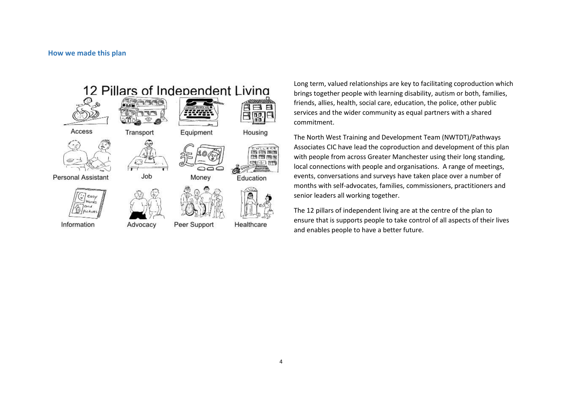

Long term, valued relationships are key to facilitating coproduction which brings together people with learning disability, autism or both, families, friends, allies, health, social care, education, the police, other public services and the wider community as equal partners with a shared commitment.

The North West Training and Development Team (NWTDT)/Pathways Associates CIC have lead the coproduction and development of this plan with people from across Greater Manchester using their long standing, local connections with people and organisations. A range of meetings, events, conversations and surveys have taken place over a number of months with self-advocates, families, commissioners, practitioners and senior leaders all working together.

The 12 pillars of independent living are at the centre of the plan to ensure that is supports people to take control of all aspects of their lives and enables people to have a better future.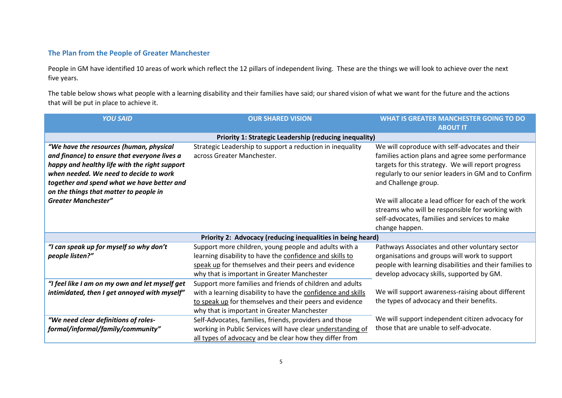# **The Plan from the People of Greater Manchester**

People in GM have identified 10 areas of work which reflect the 12 pillars of independent living. These are the things we will look to achieve over the next five years.

The table below shows what people with a learning disability and their families have said; our shared vision of what we want for the future and the actions that will be put in place to achieve it.

| <b>YOU SAID</b>                                               | <b>OUR SHARED VISION</b>                                     | <b>WHAT IS GREATER MANCHESTER GOING TO DO</b>           |  |
|---------------------------------------------------------------|--------------------------------------------------------------|---------------------------------------------------------|--|
|                                                               |                                                              | <b>ABOUT IT</b>                                         |  |
| <b>Priority 1: Strategic Leadership (reducing inequality)</b> |                                                              |                                                         |  |
| "We have the resources (human, physical                       | Strategic Leadership to support a reduction in inequality    | We will coproduce with self-advocates and their         |  |
| and finance) to ensure that everyone lives a                  | across Greater Manchester.                                   | families action plans and agree some performance        |  |
| happy and healthy life with the right support                 |                                                              | targets for this strategy. We will report progress      |  |
| when needed. We need to decide to work                        |                                                              | regularly to our senior leaders in GM and to Confirm    |  |
| together and spend what we have better and                    |                                                              | and Challenge group.                                    |  |
| on the things that matter to people in                        |                                                              |                                                         |  |
| <b>Greater Manchester"</b>                                    |                                                              | We will allocate a lead officer for each of the work    |  |
|                                                               |                                                              | streams who will be responsible for working with        |  |
|                                                               |                                                              | self-advocates, families and services to make           |  |
|                                                               |                                                              | change happen.                                          |  |
|                                                               | Priority 2: Advocacy (reducing inequalities in being heard)  |                                                         |  |
| "I can speak up for myself so why don't                       | Support more children, young people and adults with a        | Pathways Associates and other voluntary sector          |  |
| people listen?"                                               | learning disability to have the confidence and skills to     | organisations and groups will work to support           |  |
|                                                               | speak up for themselves and their peers and evidence         | people with learning disabilities and their families to |  |
|                                                               | why that is important in Greater Manchester                  | develop advocacy skills, supported by GM.               |  |
| "I feel like I am on my own and let myself get                | Support more families and friends of children and adults     |                                                         |  |
| intimidated, then I get annoyed with myself"                  | with a learning disability to have the confidence and skills | We will support awareness-raising about different       |  |
|                                                               | to speak up for themselves and their peers and evidence      | the types of advocacy and their benefits.               |  |
|                                                               | why that is important in Greater Manchester                  |                                                         |  |
| "We need clear definitions of roles-                          | Self-Advocates, families, friends, providers and those       | We will support independent citizen advocacy for        |  |
| formal/informal/family/community"                             | working in Public Services will have clear understanding of  | those that are unable to self-advocate.                 |  |
|                                                               | all types of advocacy and be clear how they differ from      |                                                         |  |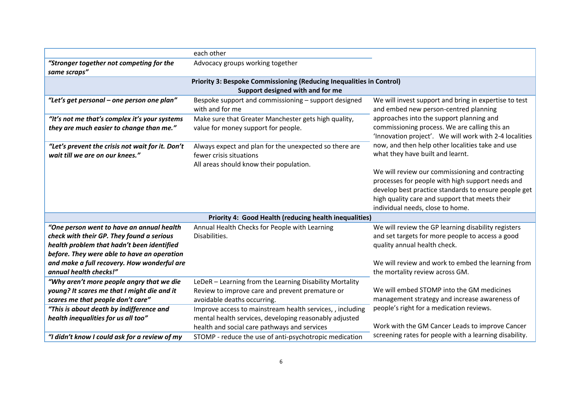|                                                                                                                                                                                     | each other                                                                                                                                                          |                                                                                                                                                                                                                                                    |  |
|-------------------------------------------------------------------------------------------------------------------------------------------------------------------------------------|---------------------------------------------------------------------------------------------------------------------------------------------------------------------|----------------------------------------------------------------------------------------------------------------------------------------------------------------------------------------------------------------------------------------------------|--|
| "Stronger together not competing for the<br>same scraps"                                                                                                                            | Advocacy groups working together                                                                                                                                    |                                                                                                                                                                                                                                                    |  |
| <b>Priority 3: Bespoke Commissioning (Reducing Inequalities in Control)</b><br>Support designed with and for me                                                                     |                                                                                                                                                                     |                                                                                                                                                                                                                                                    |  |
| "Let's get personal - one person one plan"                                                                                                                                          | Bespoke support and commissioning - support designed<br>with and for me                                                                                             | We will invest support and bring in expertise to test<br>and embed new person-centred planning                                                                                                                                                     |  |
| "It's not me that's complex it's your systems<br>they are much easier to change than me."                                                                                           | Make sure that Greater Manchester gets high quality,<br>value for money support for people.                                                                         | approaches into the support planning and<br>commissioning process. We are calling this an<br>'Innovation project'. We will work with 2-4 localities                                                                                                |  |
| "Let's prevent the crisis not wait for it. Don't<br>wait till we are on our knees."                                                                                                 | Always expect and plan for the unexpected so there are<br>fewer crisis situations<br>All areas should know their population.                                        | now, and then help other localities take and use<br>what they have built and learnt.                                                                                                                                                               |  |
|                                                                                                                                                                                     |                                                                                                                                                                     | We will review our commissioning and contracting<br>processes for people with high support needs and<br>develop best practice standards to ensure people get<br>high quality care and support that meets their<br>individual needs, close to home. |  |
|                                                                                                                                                                                     | Priority 4: Good Health (reducing health inequalities)                                                                                                              |                                                                                                                                                                                                                                                    |  |
| "One person went to have an annual health<br>check with their GP. They found a serious<br>health problem that hadn't been identified<br>before. They were able to have an operation | Annual Health Checks for People with Learning<br>Disabilities.                                                                                                      | We will review the GP learning disability registers<br>and set targets for more people to access a good<br>quality annual health check.                                                                                                            |  |
| and make a full recovery. How wonderful are<br>annual health checks!"                                                                                                               |                                                                                                                                                                     | We will review and work to embed the learning from<br>the mortality review across GM.                                                                                                                                                              |  |
| "Why aren't more people angry that we die<br>young? It scares me that I might die and it<br>scares me that people don't care"                                                       | LeDeR - Learning from the Learning Disability Mortality<br>Review to improve care and prevent premature or<br>avoidable deaths occurring.                           | We will embed STOMP into the GM medicines<br>management strategy and increase awareness of                                                                                                                                                         |  |
| "This is about death by indifference and<br>health inequalities for us all too"                                                                                                     | Improve access to mainstream health services, , including<br>mental health services, developing reasonably adjusted<br>health and social care pathways and services | people's right for a medication reviews.<br>Work with the GM Cancer Leads to improve Cancer                                                                                                                                                        |  |
| "I didn't know I could ask for a review of my                                                                                                                                       | STOMP - reduce the use of anti-psychotropic medication                                                                                                              | screening rates for people with a learning disability.                                                                                                                                                                                             |  |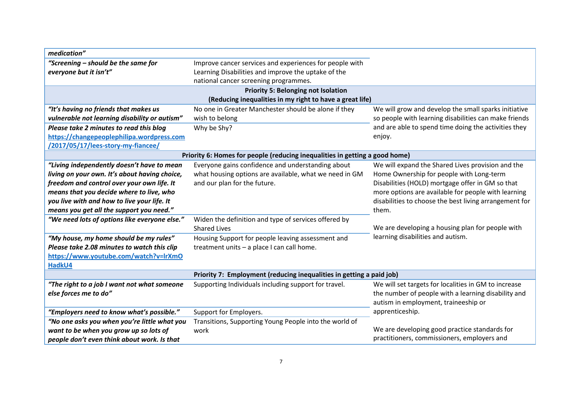| medication"                                                          |                                                                                                                                                         |                                                        |
|----------------------------------------------------------------------|---------------------------------------------------------------------------------------------------------------------------------------------------------|--------------------------------------------------------|
| "Screening - should be the same for<br>everyone but it isn't"        | Improve cancer services and experiences for people with<br>Learning Disabilities and improve the uptake of the<br>national cancer screening programmes. |                                                        |
|                                                                      | <b>Priority 5: Belonging not Isolation</b>                                                                                                              |                                                        |
|                                                                      | (Reducing inequalities in my right to have a great life)                                                                                                |                                                        |
| "It's having no friends that makes us                                | No one in Greater Manchester should be alone if they                                                                                                    | We will grow and develop the small sparks initiative   |
| vulnerable not learning disability or autism"                        | wish to belong                                                                                                                                          | so people with learning disabilities can make friends  |
| Please take 2 minutes to read this blog                              | Why be Shy?                                                                                                                                             | and are able to spend time doing the activities they   |
| https://changepeoplephilipa.wordpress.com                            |                                                                                                                                                         | enjoy.                                                 |
| /2017/05/17/lees-story-my-fiancee/                                   |                                                                                                                                                         |                                                        |
|                                                                      | Priority 6: Homes for people (reducing inequalities in getting a good home)                                                                             |                                                        |
| "Living independently doesn't have to mean                           | Everyone gains confidence and understanding about                                                                                                       | We will expand the Shared Lives provision and the      |
| living on your own. It's about having choice,                        | what housing options are available, what we need in GM                                                                                                  | Home Ownership for people with Long-term               |
| freedom and control over your own life. It                           | and our plan for the future.                                                                                                                            | Disabilities (HOLD) mortgage offer in GM so that       |
| means that you decide where to live, who                             |                                                                                                                                                         | more options are available for people with learning    |
| you live with and how to live your life. It                          |                                                                                                                                                         | disabilities to choose the best living arrangement for |
| means you get all the support you need."                             |                                                                                                                                                         | them.                                                  |
| "We need lots of options like everyone else."                        | Widen the definition and type of services offered by                                                                                                    |                                                        |
|                                                                      | <b>Shared Lives</b>                                                                                                                                     | We are developing a housing plan for people with       |
| "My house, my home should be my rules"                               | Housing Support for people leaving assessment and                                                                                                       | learning disabilities and autism.                      |
| Please take 2.08 minutes to watch this clip                          | treatment units - a place I can call home.                                                                                                              |                                                        |
| https://www.youtube.com/watch?v=lrXmO                                |                                                                                                                                                         |                                                        |
| HadkU4                                                               |                                                                                                                                                         |                                                        |
| Priority 7: Employment (reducing inequalities in getting a paid job) |                                                                                                                                                         |                                                        |
| "The right to a job I want not what someone                          | Supporting Individuals including support for travel.                                                                                                    | We will set targets for localities in GM to increase   |
| else forces me to do"                                                |                                                                                                                                                         | the number of people with a learning disability and    |
|                                                                      |                                                                                                                                                         | autism in employment, traineeship or                   |
| "Employers need to know what's possible."                            | Support for Employers.                                                                                                                                  | apprenticeship.                                        |
| "No one asks you when you're little what you                         | Transitions, Supporting Young People into the world of                                                                                                  |                                                        |
| want to be when you grow up so lots of                               | work                                                                                                                                                    | We are developing good practice standards for          |
| people don't even think about work. Is that                          |                                                                                                                                                         | practitioners, commissioners, employers and            |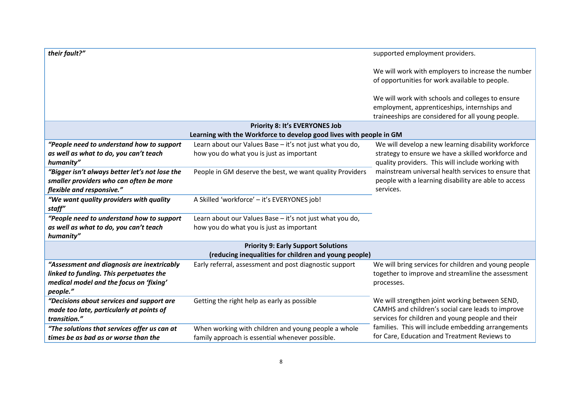| their fault?"                                                        |                                                                     | supported employment providers.                                                                                                                       |
|----------------------------------------------------------------------|---------------------------------------------------------------------|-------------------------------------------------------------------------------------------------------------------------------------------------------|
|                                                                      |                                                                     | We will work with employers to increase the number<br>of opportunities for work available to people.                                                  |
|                                                                      |                                                                     | We will work with schools and colleges to ensure<br>employment, apprenticeships, internships and<br>traineeships are considered for all young people. |
|                                                                      | <b>Priority 8: It's EVERYONES Job</b>                               |                                                                                                                                                       |
|                                                                      | Learning with the Workforce to develop good lives with people in GM |                                                                                                                                                       |
| "People need to understand how to support                            | Learn about our Values Base - it's not just what you do,            | We will develop a new learning disability workforce                                                                                                   |
| as well as what to do, you can't teach<br>humanity"                  | how you do what you is just as important                            | strategy to ensure we have a skilled workforce and<br>quality providers. This will include working with                                               |
| "Bigger isn't always better let's not lose the                       | People in GM deserve the best, we want quality Providers            | mainstream universal health services to ensure that<br>people with a learning disability are able to access                                           |
| smaller providers who can often be more<br>flexible and responsive." |                                                                     | services.                                                                                                                                             |
| "We want quality providers with quality<br>staff"                    | A Skilled 'workforce' - it's EVERYONES job!                         |                                                                                                                                                       |
| "People need to understand how to support                            | Learn about our Values Base - it's not just what you do,            |                                                                                                                                                       |
| as well as what to do, you can't teach<br>humanity"                  | how you do what you is just as important                            |                                                                                                                                                       |
|                                                                      | <b>Priority 9: Early Support Solutions</b>                          |                                                                                                                                                       |
|                                                                      | (reducing inequalities for children and young people)               |                                                                                                                                                       |
| "Assessment and diagnosis are inextricably                           | Early referral, assessment and post diagnostic support              | We will bring services for children and young people                                                                                                  |
| linked to funding. This perpetuates the                              |                                                                     | together to improve and streamline the assessment                                                                                                     |
| medical model and the focus on 'fixing'<br>people."                  |                                                                     | processes.                                                                                                                                            |
| "Decisions about services and support are                            | Getting the right help as early as possible                         | We will strengthen joint working between SEND,                                                                                                        |
| made too late, particularly at points of                             |                                                                     | CAMHS and children's social care leads to improve                                                                                                     |
| transition."                                                         |                                                                     | services for children and young people and their                                                                                                      |
| "The solutions that services offer us can at                         | When working with children and young people a whole                 | families. This will include embedding arrangements                                                                                                    |
| times be as bad as or worse than the                                 | family approach is essential whenever possible.                     | for Care, Education and Treatment Reviews to                                                                                                          |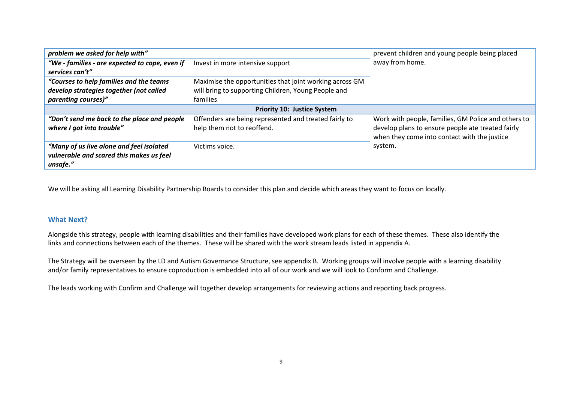| problem we asked for help with"                |                                                         | prevent children and young people being placed      |
|------------------------------------------------|---------------------------------------------------------|-----------------------------------------------------|
| "We - families - are expected to cope, even if | Invest in more intensive support                        | away from home.                                     |
| services can't"                                |                                                         |                                                     |
| "Courses to help families and the teams        | Maximise the opportunities that joint working across GM |                                                     |
| develop strategies together (not called        | will bring to supporting Children, Young People and     |                                                     |
| parenting courses)"                            | families                                                |                                                     |
| <b>Priority 10: Justice System</b>             |                                                         |                                                     |
| "Don't send me back to the place and people    | Offenders are being represented and treated fairly to   | Work with people, families, GM Police and others to |
| where I got into trouble"                      | help them not to reoffend.                              | develop plans to ensure people ate treated fairly   |
|                                                |                                                         | when they come into contact with the justice        |
| "Many of us live alone and feel isolated       | Victims voice.                                          | system.                                             |
| vulnerable and scared this makes us feel       |                                                         |                                                     |
| unsafe."                                       |                                                         |                                                     |

We will be asking all Learning Disability Partnership Boards to consider this plan and decide which areas they want to focus on locally.

### **What Next?**

Alongside this strategy, people with learning disabilities and their families have developed work plans for each of these themes. These also identify the links and connections between each of the themes. These will be shared with the work stream leads listed in appendix A.

The Strategy will be overseen by the LD and Autism Governance Structure, see appendix B. Working groups will involve people with a learning disability and/or family representatives to ensure coproduction is embedded into all of our work and we will look to Conform and Challenge.

The leads working with Confirm and Challenge will together develop arrangements for reviewing actions and reporting back progress.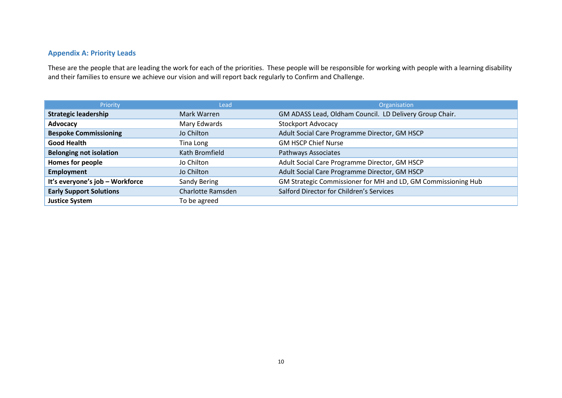## **Appendix A: Priority Leads**

These are the people that are leading the work for each of the priorities. These people will be responsible for working with people with a learning disability and their families to ensure we achieve our vision and will report back regularly to Confirm and Challenge.

| Priority                        | Lead                     | Organisation                                                  |
|---------------------------------|--------------------------|---------------------------------------------------------------|
| <b>Strategic leadership</b>     | Mark Warren              | GM ADASS Lead, Oldham Council. LD Delivery Group Chair.       |
| Advocacy                        | Mary Edwards             | <b>Stockport Advocacy</b>                                     |
| <b>Bespoke Commissioning</b>    | Jo Chilton               | Adult Social Care Programme Director, GM HSCP                 |
| <b>Good Health</b>              | Tina Long                | <b>GM HSCP Chief Nurse</b>                                    |
| <b>Belonging not isolation</b>  | Kath Bromfield           | Pathways Associates                                           |
| Homes for people                | Jo Chilton               | Adult Social Care Programme Director, GM HSCP                 |
| <b>Employment</b>               | Jo Chilton               | Adult Social Care Programme Director, GM HSCP                 |
| It's everyone's job - Workforce | Sandy Bering             | GM Strategic Commissioner for MH and LD, GM Commissioning Hub |
| <b>Early Support Solutions</b>  | <b>Charlotte Ramsden</b> | Salford Director for Children's Services                      |
| <b>Justice System</b>           | To be agreed             |                                                               |